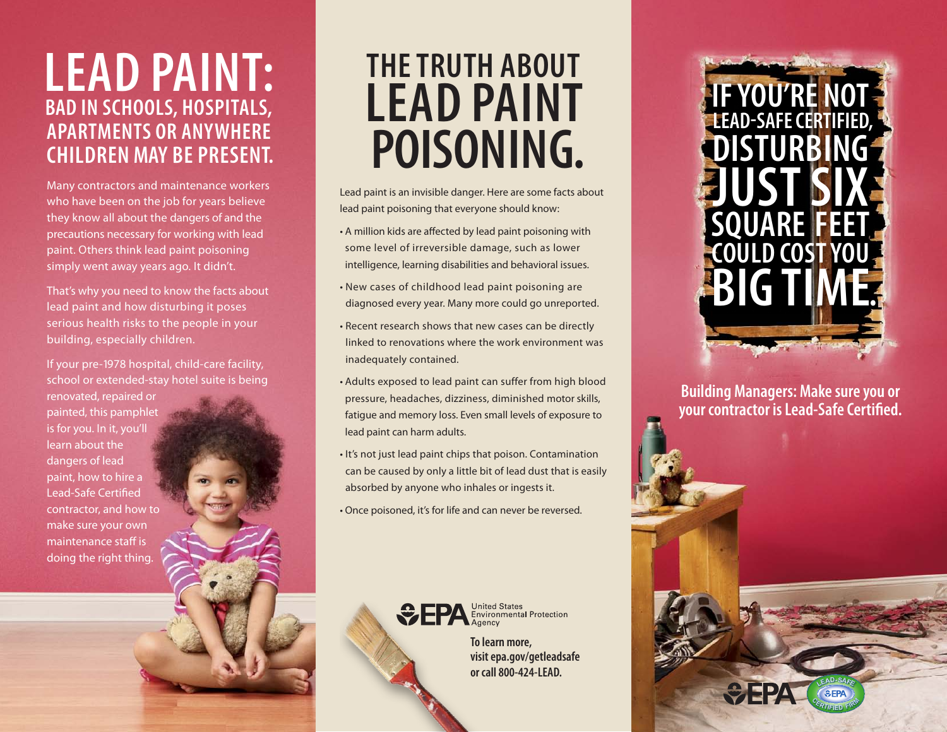## **Lead paint: BAD IN SCHOOLS, HOSPITALS, APARTMENTS OR ANYWHERE CHILDREN MAY BE PRESENT.**

Many contractors and maintenance workers who have been on the job for years believe they know all about the dangers of and the precautions necessary for working with lead paint. Others think lead paint poisoning simply went away years ago. It didn't.

That's why you need to know the facts about lead paint and how disturbing it poses serious health risks to the people in your building, especially children.

If your pre-1978 hospital, child-care facility, school or extended-stay hotel suite is being renovated, repaired or painted, this pamphlet is for you. In it, you'll learn about the dangers of lead paint, how to hire a Lead-Safe Certified contractor, and how to make sure your own maintenance staff is doing the right thing.

# **The truth about lead paint poisoning.**

Lead paint is an invisible danger. Here are some facts about lead paint poisoning that everyone should know:

- A million kids are affected by lead paint poisoning with some level of irreversible damage, such as lower intelligence, learning disabilities and behavioral issues.
- New cases of childhood lead paint poisoning are diagnosed every year. Many more could go unreported.
- Recent research shows that new cases can be directly linked to renovations where the work environment was inadequately contained.
- Adults exposed to lead paint can suffer from high blood pressure, headaches, dizziness, diminished motor skills, fatigue and memory loss. Even small levels of exposure to lead paint can harm adults.
- It's not just lead paint chips that poison. Contamination can be caused by only a little bit of lead dust that is easily absorbed by anyone who inhales or ingests it.
- Once poisoned, it's for life and can never be reversed.



**To learn more, visit epa.gov/getleadsafe or call 800-424-LEAD.**



**Building Managers: Make sure you or your contractor is Lead-Safe Certified.**

> **<sup>C</sup>ERTIFIE<sup>D</sup> <sup>F</sup>IR<sup>M</sup> <sup>L</sup>EAD-SAF<sup>E</sup>**